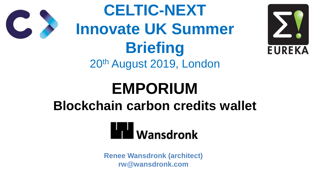# **EMPORIUM Blockchain carbon credits wallet**



**CELTIC-NEXT Innovate UK Summer Briefing** 20th August 2019, London

> **Renee Wansdronk (architect) rw@wansdronk.com**





# **Wansdronk**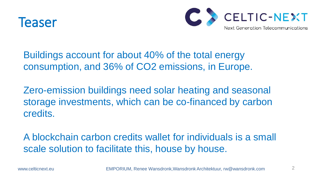

Buildings account for about 40% of the total energy consumption, and 36% of CO2 emissions, in Europe.

A blockchain carbon credits wallet for individuals is a small scale solution to facilitate this, house by house.

www.celticnext.eu **EMPORIUM, Renee Wansdronk, Wansdronk Architektuur**, rw@wansdronk.com



Zero-emission buildings need solar heating and seasonal storage investments, which can be co-financed by carbon credits.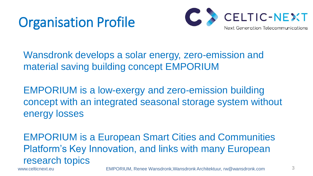# Organisation Profile

Wansdronk develops a solar energy, zero-emission and material saving building concept EMPORIUM

EMPORIUM is a low-exergy and zero-emission building concept with an integrated seasonal storage system without energy losses

EMPORIUM is a European Smart Cities and Communities Platform's Key Innovation, and links with many European research topics

www.celticnext.eu **EMPORIUM, Renee Wansdronk,Wansdronk Architektuur**, rw@wansdronk.com 3

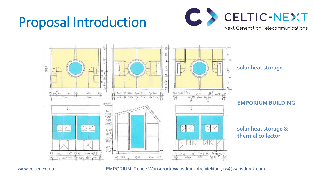

www.celticnext.eu **EMPORIUM, Renee Wansdronk, Wansdronk Architektuur**, rw@wansdronk.com



## Proposal Introduction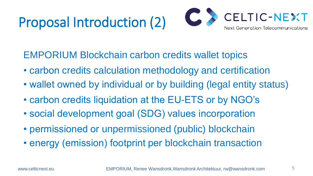# Proposal Introduction (2)

- EMPORIUM Blockchain carbon credits wallet topics
- carbon credits calculation methodology and certification
- wallet owned by individual or by building (legal entity status)
- carbon credits liquidation at the EU-ETS or by NGO's
- social development goal (SDG) values incorporation
- permissioned or unpermissioned (public) blockchain
- energy (emission) footprint per blockchain transaction

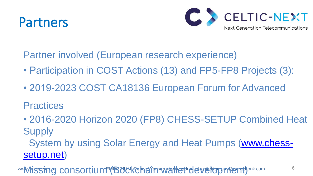### Partners

- Partner involved (European research experience) • Participation in COST Actions (13) and FP5-FP8 Projects (3):
- 2019-2023 COST CA18136 European Forum for Advanced

Practices

• 2016-2020 Horizon 2020 (FP8) CHESS-SETUP Combined Heat **Supply**  System by using Solar Energy and Heat Pumps ([www.chess](http://www.chess-setup.net)[setup.net](http://www.chess-setup.net))

wwW.4itssitig consortium (Buckchain wallet development) onk.com 6



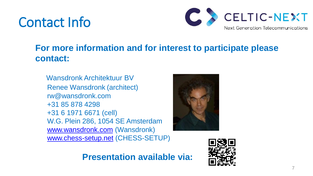## Contact Info

#### **For more information and for interest to participate please contact:**

 Wansdronk Architektuur BV Renee Wansdronk (architect) rw@wansdronk.com +31 85 878 4298 +31 6 1971 6671 (cell) W.G. Plein 286, 1054 SE Amsterdam [www.wansdronk.com](http://www.wansdronk.com) (Wansdronk) [www.chess-setup.net](http://www.chess-setup.net) (CHESS-SETUP)

#### **Presentation available via:**